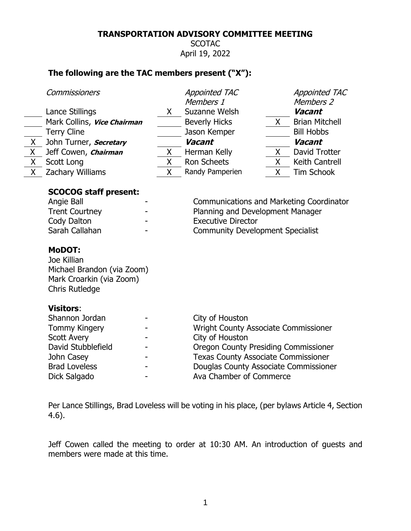# **TRANSPORTATION ADVISORY COMMITTEE MEETING**

**SCOTAC** April 19, 2022

# **The following are the TAC members present ("X"):**

|       | Commissioners                                                                                                                                                |    | <b>Appointed TAC</b><br>Members 1                                                                                                                                                                                                                  |       | <b>Appointed TAC</b><br>Members 2 |
|-------|--------------------------------------------------------------------------------------------------------------------------------------------------------------|----|----------------------------------------------------------------------------------------------------------------------------------------------------------------------------------------------------------------------------------------------------|-------|-----------------------------------|
|       | Lance Stillings                                                                                                                                              | X. | Suzanne Welsh                                                                                                                                                                                                                                      |       | Vacant                            |
|       | Mark Collins, Vice Chairman                                                                                                                                  |    | <b>Beverly Hicks</b>                                                                                                                                                                                                                               | $X -$ | <b>Brian Mitchell</b>             |
|       | <b>Terry Cline</b>                                                                                                                                           |    | Jason Kemper                                                                                                                                                                                                                                       |       | <b>Bill Hobbs</b>                 |
| $X -$ | John Turner, <b>Secretary</b>                                                                                                                                |    | Vacant                                                                                                                                                                                                                                             |       | Vacant                            |
| X     | Jeff Cowen, Chairman                                                                                                                                         | X  | Herman Kelly                                                                                                                                                                                                                                       | X.    | David Trotter                     |
| X     | Scott Long                                                                                                                                                   | Χ  | <b>Ron Scheets</b>                                                                                                                                                                                                                                 | X     | Keith Cantrell                    |
| X     | Zachary Williams                                                                                                                                             | Χ  | Randy Pamperien                                                                                                                                                                                                                                    | X.    | <b>Tim Schook</b>                 |
|       | <b>SCOCOG staff present:</b><br>Angie Ball<br><b>Trent Courtney</b><br>Cody Dalton<br>Sarah Callahan<br><b>MoDOT:</b>                                        |    | <b>Communications and Marketing Coordinator</b><br>Planning and Development Manager<br><b>Executive Director</b><br><b>Community Development Specialist</b>                                                                                        |       |                                   |
|       | Joe Killian<br>Michael Brandon (via Zoom)<br>Mark Croarkin (via Zoom)<br><b>Chris Rutledge</b>                                                               |    |                                                                                                                                                                                                                                                    |       |                                   |
|       | <b>Visitors:</b><br>Shannon Jordan<br><b>Tommy Kingery</b><br><b>Scott Avery</b><br>David Stubblefield<br>John Casey<br><b>Brad Loveless</b><br>Dick Salgado |    | City of Houston<br><b>Wright County Associate Commissioner</b><br>City of Houston<br><b>Oregon County Presiding Commissioner</b><br><b>Texas County Associate Commissioner</b><br>Douglas County Associate Commissioner<br>Ava Chamber of Commerce |       |                                   |

Per Lance Stillings, Brad Loveless will be voting in his place, (per bylaws Article 4, Section 4.6).

Jeff Cowen called the meeting to order at 10:30 AM. An introduction of guests and members were made at this time.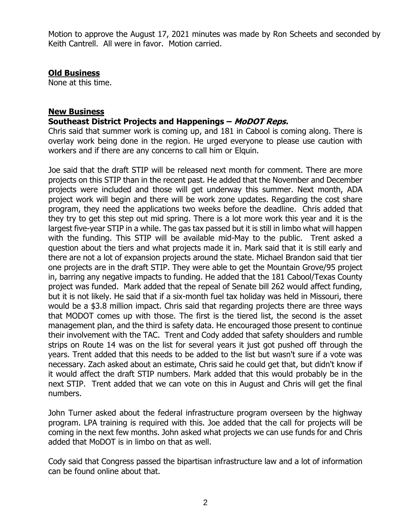Motion to approve the August 17, 2021 minutes was made by Ron Scheets and seconded by Keith Cantrell. All were in favor. Motion carried.

## **Old Business**

None at this time.

### **New Business**

### **Southeast District Projects and Happenings – MoDOT Reps.**

Chris said that summer work is coming up, and 181 in Cabool is coming along. There is overlay work being done in the region. He urged everyone to please use caution with workers and if there are any concerns to call him or Elquin.

Joe said that the draft STIP will be released next month for comment. There are more projects on this STIP than in the recent past. He added that the November and December projects were included and those will get underway this summer. Next month, ADA project work will begin and there will be work zone updates. Regarding the cost share program, they need the applications two weeks before the deadline. Chris added that they try to get this step out mid spring. There is a lot more work this year and it is the largest five-year STIP in a while. The gas tax passed but it is still in limbo what will happen with the funding. This STIP will be available mid-May to the public. Trent asked a question about the tiers and what projects made it in. Mark said that it is still early and there are not a lot of expansion projects around the state. Michael Brandon said that tier one projects are in the draft STIP. They were able to get the Mountain Grove/95 project in, barring any negative impacts to funding. He added that the 181 Cabool/Texas County project was funded. Mark added that the repeal of Senate bill 262 would affect funding, but it is not likely. He said that if a six-month fuel tax holiday was held in Missouri, there would be a \$3.8 million impact. Chris said that regarding projects there are three ways that MODOT comes up with those. The first is the tiered list, the second is the asset management plan, and the third is safety data. He encouraged those present to continue their involvement with the TAC. Trent and Cody added that safety shoulders and rumble strips on Route 14 was on the list for several years it just got pushed off through the years. Trent added that this needs to be added to the list but wasn't sure if a vote was necessary. Zach asked about an estimate, Chris said he could get that, but didn't know if it would affect the draft STIP numbers. Mark added that this would probably be in the next STIP. Trent added that we can vote on this in August and Chris will get the final numbers.

John Turner asked about the federal infrastructure program overseen by the highway program. LPA training is required with this. Joe added that the call for projects will be coming in the next few months. John asked what projects we can use funds for and Chris added that MoDOT is in limbo on that as well.

Cody said that Congress passed the bipartisan infrastructure law and a lot of information can be found online about that.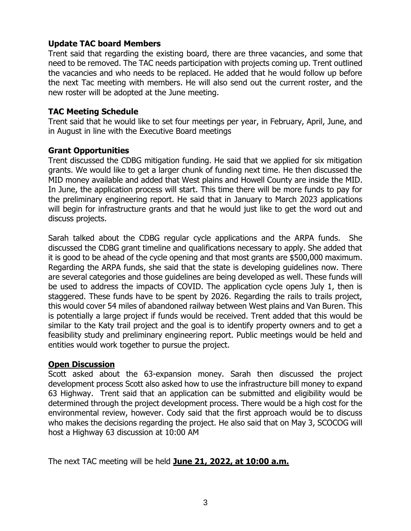## **Update TAC board Members**

Trent said that regarding the existing board, there are three vacancies, and some that need to be removed. The TAC needs participation with projects coming up. Trent outlined the vacancies and who needs to be replaced. He added that he would follow up before the next Tac meeting with members. He will also send out the current roster, and the new roster will be adopted at the June meeting.

### **TAC Meeting Schedule**

Trent said that he would like to set four meetings per year, in February, April, June, and in August in line with the Executive Board meetings

### **Grant Opportunities**

Trent discussed the CDBG mitigation funding. He said that we applied for six mitigation grants. We would like to get a larger chunk of funding next time. He then discussed the MID money available and added that West plains and Howell County are inside the MID. In June, the application process will start. This time there will be more funds to pay for the preliminary engineering report. He said that in January to March 2023 applications will begin for infrastructure grants and that he would just like to get the word out and discuss projects.

Sarah talked about the CDBG regular cycle applications and the ARPA funds. She discussed the CDBG grant timeline and qualifications necessary to apply. She added that it is good to be ahead of the cycle opening and that most grants are \$500,000 maximum. Regarding the ARPA funds, she said that the state is developing guidelines now. There are several categories and those guidelines are being developed as well. These funds will be used to address the impacts of COVID. The application cycle opens July 1, then is staggered. These funds have to be spent by 2026. Regarding the rails to trails project, this would cover 54 miles of abandoned railway between West plains and Van Buren. This is potentially a large project if funds would be received. Trent added that this would be similar to the Katy trail project and the goal is to identify property owners and to get a feasibility study and preliminary engineering report. Public meetings would be held and entities would work together to pursue the project.

#### **Open Discussion**

Scott asked about the 63-expansion money. Sarah then discussed the project development process Scott also asked how to use the infrastructure bill money to expand 63 Highway. Trent said that an application can be submitted and eligibility would be determined through the project development process. There would be a high cost for the environmental review, however. Cody said that the first approach would be to discuss who makes the decisions regarding the project. He also said that on May 3, SCOCOG will host a Highway 63 discussion at 10:00 AM

The next TAC meeting will be held **June 21, 2022, at 10:00 a.m.**